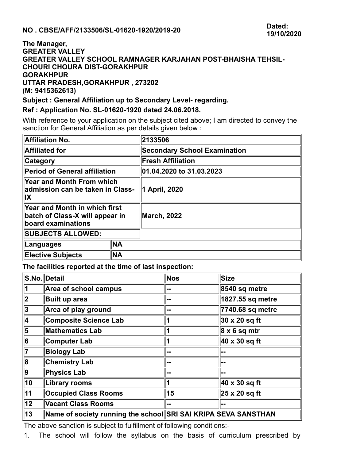## **The Manager, GREATER VALLEY GREATER VALLEY SCHOOL RAMNAGER KARJAHAN POST-BHAISHA TEHSIL-CHOURI CHOURA DIST-GORAKHPUR GORAKHPUR UTTAR PRADESH,GORAKHPUR , 273202 (M: 9415362613)**

## **Subject : General Affiliation up to Secondary Level- regarding.**

## **Ref : Application No. SL-01620-1920 dated 24.06.2018.**

With reference to your application on the subject cited above; I am directed to convey the sanction for General Affiliation as per details given below :

| <b>Affiliation No.</b>                                                                        |           | 2133506                             |  |
|-----------------------------------------------------------------------------------------------|-----------|-------------------------------------|--|
| <b>Affiliated for</b>                                                                         |           | <b>Secondary School Examination</b> |  |
| <b>Category</b>                                                                               |           | <b>Fresh Affiliation</b>            |  |
| <b>Period of General affiliation</b>                                                          |           | 01.04.2020 to 31.03.2023            |  |
| Year and Month From which<br>admission can be taken in Class-<br>IX                           |           | <b>April, 2020</b><br>11.           |  |
| <b>Year and Month in which first</b><br>batch of Class-X will appear in<br>board examinations |           | <b>March, 2022</b>                  |  |
| <b>SUBJECTS ALLOWED:</b>                                                                      |           |                                     |  |
| ∣Languages                                                                                    | <b>NA</b> |                                     |  |
| <b>Elective Subjects</b>                                                                      | <b>NA</b> |                                     |  |

**The facilities reported at the time of last inspection:**

|                           | S.No. Detail                                                   | Nos | Size                      |
|---------------------------|----------------------------------------------------------------|-----|---------------------------|
| 1                         | Area of school campus                                          | --  | $ 8540 \text{ sq metre} $ |
| $\overline{\mathbf{2}}$   | <b>Built up area</b>                                           |     | 1827.55 sq metre          |
| $ \overline{3} $          | Area of play ground                                            |     | 7740.68 sq metre          |
| 4                         | <b>Composite Science Lab</b>                                   |     | $ 30 \times 20$ sq ft     |
| $ \overline{\mathbf{5}} $ | <b>Mathematics Lab</b>                                         |     | $ 8 \times 6$ sq mtr      |
| $\overline{6}$            | Computer Lab                                                   |     | $ 40 \times 30$ sq ft     |
| 17                        | <b>Biology Lab</b>                                             | --  | --                        |
| $ \overline{\mathbf{8}} $ | <b>Chemistry Lab</b>                                           |     |                           |
| 9                         | <b>Physics Lab</b>                                             |     |                           |
| $\overline{10}$           | <b>Library rooms</b>                                           |     | $40 \times 30$ sq ft      |
| $\overline{11}$           | <b>Occupied Class Rooms</b>                                    | 15  | $ 25 \times 20$ sq ft     |
| $\overline{12}$           | <b>Vacant Class Rooms</b>                                      |     |                           |
| 13                        | Name of society running the school SRI SAI KRIPA SEVA SANSTHAN |     |                           |

The above sanction is subject to fulfillment of following conditions:-

1. The school will follow the syllabus on the basis of curriculum prescribed by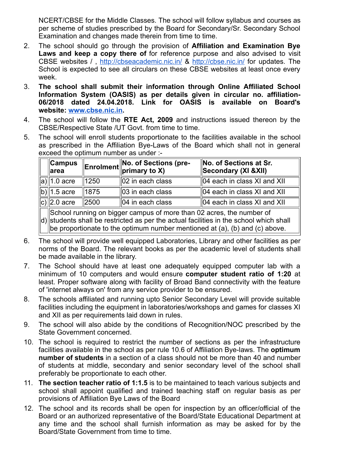NCERT/CBSE for the Middle Classes. The school will follow syllabus and courses as per scheme of studies prescribed by the Board for Secondary/Sr. Secondary School Examination and changes made therein from time to time.

- 2. The school should go through the provision of **Affiliation and Examination Bye Laws and keep a copy there of** for reference purpose and also advised to visit CBSE websites /, <http://cbseacademic.nic.in/> & <http://cbse.nic.in/> for updates. The School is expected to see all circulars on these CBSE websites at least once every week.
- 3. **The school shall submit their information through Online Affiliated School Information System (OASIS) as per details given in circular no. affiliation-06/2018 dated 24.04.2018. Link for OASIS is available on Board's website: [www.cbse.nic.in](http://www.cbse.nic.in/).**
- 4. The school will follow the **RTE Act, 2009** and instructions issued thereon by the CBSE/Respective State /UT Govt. from time to time.
- 5. The school will enroll students proportionate to the facilities available in the school as prescribed in the Affiliation Bye-Laws of the Board which shall not in general exceed the optimum number as under :-

| ∥Campus<br>∥area                                                                                                                                                        |      | <b>Enrolment</b> No. of Sections (pre-<br>primary to X) | No. of Sections at Sr.<br>Secondary (XI & XII) |  |  |
|-------------------------------------------------------------------------------------------------------------------------------------------------------------------------|------|---------------------------------------------------------|------------------------------------------------|--|--|
| $ a \ $ 1.0 acre                                                                                                                                                        | 1250 | 02 in each class                                        | $\parallel$ 04 each in class XI and XII        |  |  |
| $ b \ 1.5$ acre                                                                                                                                                         | 1875 | $\parallel$ 03 in each class                            | $\parallel$ 04 each in class XI and XII        |  |  |
| $ c \ $ 2.0 acre                                                                                                                                                        | 2500 | $\parallel$ 04 in each class                            | $\parallel$ 04 each in class XI and XII        |  |  |
| School running on bigger campus of more than 02 acres, the number of<br>$ d\rangle$ students shall be restricted as per the actual facilities in the school which shall |      |                                                         |                                                |  |  |

be proportionate to the optimum number mentioned at (a), (b) and (c) above.

- 6. The school will provide well equipped Laboratories, Library and other facilities as per norms of the Board. The relevant books as per the academic level of students shall be made available in the library.
- 7. The School should have at least one adequately equipped computer lab with a minimum of 10 computers and would ensure **computer student ratio of 1:20** at least. Proper software along with facility of Broad Band connectivity with the feature of 'internet always on' from any service provider to be ensured.
- 8. The schools affiliated and running upto Senior Secondary Level will provide suitable facilities including the equipment in laboratories/workshops and games for classes XI and XII as per requirements laid down in rules.
- 9. The school will also abide by the conditions of Recognition/NOC prescribed by the State Government concerned.
- 10. The school is required to restrict the number of sections as per the infrastructure facilities available in the school as per rule 10.6 of Affiliation Bye-laws. The **optimum number of students** in a section of a class should not be more than 40 and number of students at middle, secondary and senior secondary level of the school shall preferably be proportionate to each other.
- 11. **The section teacher ratio of 1:1.5** is to be maintained to teach various subjects and school shall appoint qualified and trained teaching staff on regular basis as per provisions of Affiliation Bye Laws of the Board
- 12. The school and its records shall be open for inspection by an officer/official of the Board or an authorized representative of the Board/State Educational Department at any time and the school shall furnish information as may be asked for by the Board/State Government from time to time.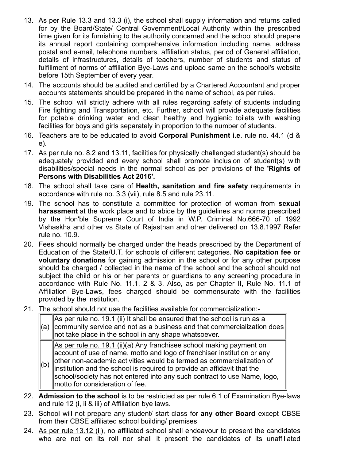- 13. As per Rule 13.3 and 13.3 (i), the school shall supply information and returns called for by the Board/State/ Central Government/Local Authority within the prescribed time given for its furnishing to the authority concerned and the school should prepare its annual report containing comprehensive information including name, address postal and e-mail, telephone numbers, affiliation status, period of General affiliation, details of infrastructures, details of teachers, number of students and status of fulfillment of norms of affiliation Bye-Laws and upload same on the school's website before 15th September of every year.
- 14. The accounts should be audited and certified by a Chartered Accountant and proper accounts statements should be prepared in the name of school, as per rules.
- 15. The school will strictly adhere with all rules regarding safety of students including Fire fighting and Transportation, etc. Further, school will provide adequate facilities for potable drinking water and clean healthy and hygienic toilets with washing facilities for boys and girls separately in proportion to the number of students.
- 16. Teachers are to be educated to avoid **Corporal Punishment i.e**. rule no. 44.1 (d & e).
- 17. As per rule no. 8.2 and 13.11, facilities for physically challenged student(s) should be adequately provided and every school shall promote inclusion of student(s) with disabilities/special needs in the normal school as per provisions of the **'Rights of Persons with Disabilities Act 2016'.**
- 18. The school shall take care of **Health, sanitation and fire safety** requirements in accordance with rule no. 3.3 (vii), rule 8.5 and rule 23.11.
- 19. The school has to constitute a committee for protection of woman from **sexual harassment** at the work place and to abide by the guidelines and norms prescribed by the Hon'ble Supreme Court of India in W.P. Criminal No.666-70 of 1992 Vishaskha and other vs State of Rajasthan and other delivered on 13.8.1997 Refer rule no. 10.9.
- 20. Fees should normally be charged under the heads prescribed by the Department of Education of the State/U.T. for schools of different categories. **No capitation fee or voluntary donations** for gaining admission in the school or for any other purpose should be charged / collected in the name of the school and the school should not subject the child or his or her parents or guardians to any screening procedure in accordance with Rule No. 11.1, 2 & 3. Also, as per Chapter II, Rule No. 11.1 of Affiliation Bye-Laws, fees charged should be commensurate with the facilities provided by the institution.
- 21. The school should not use the facilities available for commercialization:-

(a) community service and not as a business and that commercialization does As per rule no. 19.1 (ii) It shall be ensured that the school is run as a not take place in the school in any shape whatsoever.

As per rule no. 19.1 (ii)(a) Any franchisee school making payment on account of use of name, motto and logo of franchiser institution or any other non-academic activities would be termed as commercialization of

- (b) institution and the school is required to provide an affidavit that the school/society has not entered into any such contract to use Name, logo, motto for consideration of fee.
- 22. **Admission to the school** is to be restricted as per rule 6.1 of Examination Bye-laws and rule 12 (i, ii & iii) of Affiliation bye laws.
- 23. School will not prepare any student/ start class for **any other Board** except CBSE from their CBSE affiliated school building/ premises
- 24. As per rule  $13.12$  (ii), no affiliated school shall endeavour to present the candidates who are not on its roll nor shall it present the candidates of its unaffiliated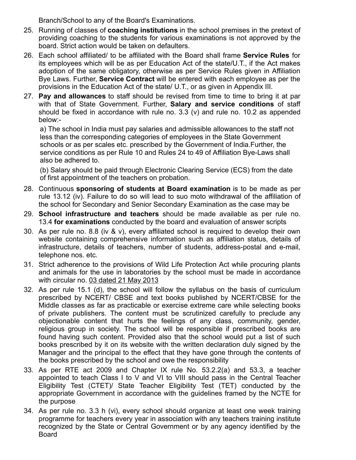Branch/School to any of the Board's Examinations.

- 25. Running of classes of **coaching institutions** in the school premises in the pretext of providing coaching to the students for various examinations is not approved by the board. Strict action would be taken on defaulters.
- 26. Each school affiliated/ to be affiliated with the Board shall frame **Service Rules** for its employees which will be as per Education Act of the state/U.T., if the Act makes adoption of the same obligatory, otherwise as per Service Rules given in Affiliation Bye Laws. Further, **Service Contract** will be entered with each employee as per the provisions in the Education Act of the state/ U.T., or as given in Appendix III.
- 27. **Pay and allowances** to staff should be revised from time to time to bring it at par with that of State Government. Further, **Salary and service conditions** of staff should be fixed in accordance with rule no. 3.3 (v) and rule no. 10.2 as appended below:-

a) The school in India must pay salaries and admissible allowances to the staff not less than the corresponding categories of employees in the State Government schools or as per scales etc. prescribed by the Government of India.Further, the service conditions as per Rule 10 and Rules 24 to 49 of Affiliation Bye-Laws shall also be adhered to.

(b) Salary should be paid through Electronic Clearing Service (ECS) from the date of first appointment of the teachers on probation.

- 28. Continuous **sponsoring of students at Board examination** is to be made as per rule 13.12 (iv). Failure to do so will lead to suo moto withdrawal of the affiliation of the school for Secondary and Senior Secondary Examination as the case may be
- 29. **School infrastructure and teachers** should be made available as per rule no. 13.4 **for examinations** conducted by the board and evaluation of answer scripts
- 30. As per rule no. 8.8 (iv & v), every affiliated school is required to develop their own website containing comprehensive information such as affiliation status, details of infrastructure, details of teachers, number of students, address-postal and e-mail, telephone nos. etc.
- 31. Strict adherence to the provisions of Wild Life Protection Act while procuring plants and animals for the use in laboratories by the school must be made in accordance with circular no. 03 dated 21 May 2013
- 32. As per rule 15.1 (d), the school will follow the syllabus on the basis of curriculum prescribed by NCERT/ CBSE and text books published by NCERT/CBSE for the Middle classes as far as practicable or exercise extreme care while selecting books of private publishers. The content must be scrutinized carefully to preclude any objectionable content that hurts the feelings of any class, community, gender, religious group in society. The school will be responsible if prescribed books are found having such content. Provided also that the school would put a list of such books prescribed by it on its website with the written declaration duly signed by the Manager and the principal to the effect that they have gone through the contents of the books prescribed by the school and owe the responsibility
- 33. As per RTE act 2009 and Chapter IX rule No. 53.2.2(a) and 53.3, a teacher appointed to teach Class I to V and VI to VIII should pass in the Central Teacher Eligibility Test (CTET)/ State Teacher Eligibility Test (TET) conducted by the appropriate Government in accordance with the guidelines framed by the NCTE for the purpose
- 34. As per rule no. 3.3 h (vi), every school should organize at least one week training programme for teachers every year in association with any teachers training institute recognized by the State or Central Government or by any agency identified by the Board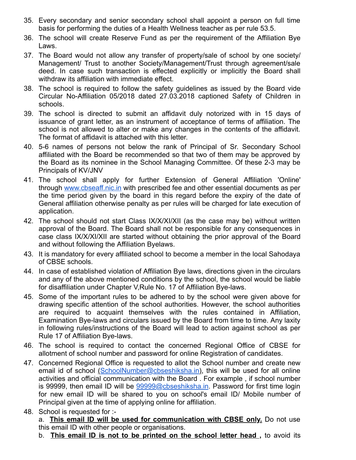- 35. Every secondary and senior secondary school shall appoint a person on full time basis for performing the duties of a Health Wellness teacher as per rule 53.5.
- 36. The school will create Reserve Fund as per the requirement of the Affiliation Bye Laws.
- 37. The Board would not allow any transfer of property/sale of school by one society/ Management/ Trust to another Society/Management/Trust through agreement/sale deed. In case such transaction is effected explicitly or implicitly the Board shall withdraw its affiliation with immediate effect.
- 38. The school is required to follow the safety guidelines as issued by the Board vide Circular No-Affiliation 05/2018 dated 27.03.2018 captioned Safety of Children in schools.
- 39. The school is directed to submit an affidavit duly notorized with in 15 days of issuance of grant letter, as an instrument of acceptance of terms of affiliation. The school is not allowed to alter or make any changes in the contents of the affidavit. The format of affidavit is attached with this letter.
- 40. 5-6 names of persons not below the rank of Principal of Sr. Secondary School affiliated with the Board be recommended so that two of them may be approved by the Board as its nominee in the School Managing Committee. Of these 2-3 may be Principals of KV/JNV
- 41. The school shall apply for further Extension of General Affiliation 'Online' through [www.cbseaff.nic.in](http://www.cbseaff.nic.in/) with prescribed fee and other essential documents as per the time period given by the board in this regard before the expiry of the date of General affiliation otherwise penalty as per rules will be charged for late execution of application.
- 42. The school should not start Class IX/X/XI/XII (as the case may be) without written approval of the Board. The Board shall not be responsible for any consequences in case class IX/X/XI/XII are started without obtaining the prior approval of the Board and without following the Affiliation Byelaws.
- 43. It is mandatory for every affiliated school to become a member in the local Sahodaya of CBSE schools.
- 44. In case of established violation of Affiliation Bye laws, directions given in the circulars and any of the above mentioned conditions by the school, the school would be liable for disaffiliation under Chapter V,Rule No. 17 of Affiliation Bye-laws.
- 45. Some of the important rules to be adhered to by the school were given above for drawing specific attention of the school authorities. However, the school authorities are required to acquaint themselves with the rules contained in Affiliation, Examination Bye-laws and circulars issued by the Board from time to time. Any laxity in following rules/instructions of the Board will lead to action against school as per Rule 17 of Affiliation Bye-laws.
- 46. The school is required to contact the concerned Regional Office of CBSE for allotment of school number and password for online Registration of candidates.
- 47. Concerned Regional Office is requested to allot the School number and create new email id of school [\(SchoolNumber@cbseshiksha.in\)](mailto:SchoolNumber@cbseshiksha.in), this will be used for all online activities and official communication with the Board . For example , if school number is 99999, then email ID will be  $99999@c$  bseshiksha.in. Password for first time login for new email ID will be shared to you on school's email ID/ Mobile number of Principal given at the time of applying online for affiliation.
- 48. School is requested for :-

a. **This email ID will be used for communication with CBSE only.** Do not use this email ID with other people or organisations.

b. **This email ID is not to be printed on the school letter head ,** to avoid its